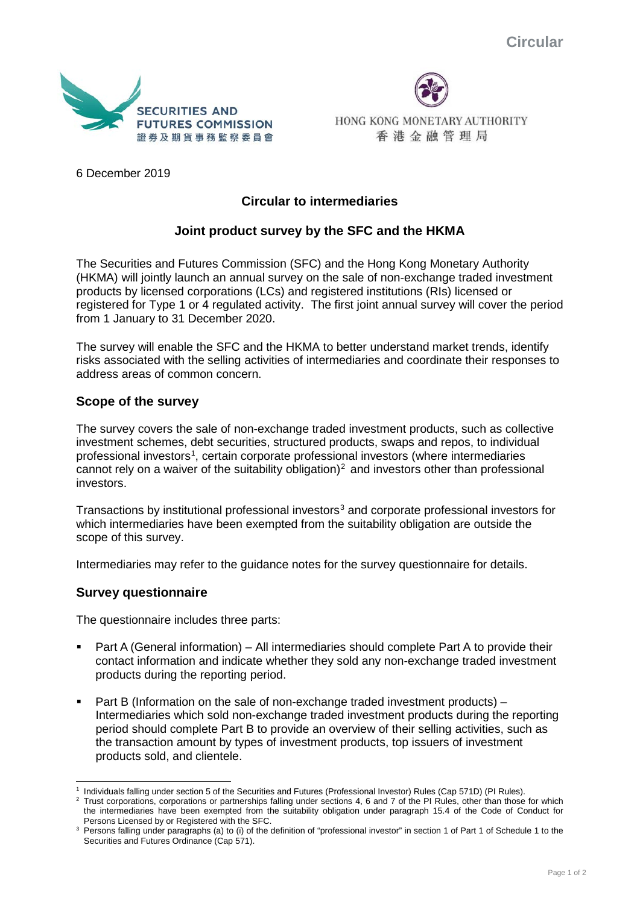

HONG KONG MONETARY AUTHORITY 香港金融管理局

6 December 2019

# **Circular to intermediaries**

## **Joint product survey by the SFC and the HKMA**

The Securities and Futures Commission (SFC) and the Hong Kong Monetary Authority (HKMA) will jointly launch an annual survey on the sale of non-exchange traded investment products by licensed corporations (LCs) and registered institutions (RIs) licensed or registered for Type 1 or 4 regulated activity. The first joint annual survey will cover the period from 1 January to 31 December 2020.

The survey will enable the SFC and the HKMA to better understand market trends, identify risks associated with the selling activities of intermediaries and coordinate their responses to address areas of common concern.

#### **Scope of the survey**

The survey covers the sale of non-exchange traded investment products, such as collective investment schemes, debt securities, structured products, swaps and repos, to individual professional investors<sup>[1](#page-0-0)</sup>, certain corporate professional investors (where intermediaries cannot rely on a waiver of the suitability obligation)<sup>[2](#page-0-1)</sup> and investors other than professional investors.

Transactions by institutional professional investors<sup>[3](#page-0-2)</sup> and corporate professional investors for which intermediaries have been exempted from the suitability obligation are outside the scope of this survey.

Intermediaries may refer to the guidance notes for the survey questionnaire for details.

#### **Survey questionnaire**

The questionnaire includes three parts:

- Part A (General information) All intermediaries should complete Part A to provide their contact information and indicate whether they sold any non-exchange traded investment products during the reporting period.
- **Part B** (Information on the sale of non-exchange traded investment products)  $-$ Intermediaries which sold non-exchange traded investment products during the reporting period should complete Part B to provide an overview of their selling activities, such as the transaction amount by types of investment products, top issuers of investment products sold, and clientele.

<span id="page-0-0"></span>Individuals falling under section 5 of the Securities and Futures (Professional Investor) Rules (Cap 571D) (PI Rules).

<span id="page-0-1"></span><sup>2</sup> Trust corporations, corporations or partnerships falling under sections 4, 6 and 7 of the PI Rules, other than those for which the intermediaries have been exempted from the suitability obligation under paragraph 15.4 of the Code of Conduct for Persons Licensed by or Registered with the SFC.

<span id="page-0-2"></span><sup>3</sup> Persons falling under paragraphs (a) to (i) of the definition of "professional investor" in section 1 of Part 1 of Schedule 1 to the Securities and Futures Ordinance (Cap 571).